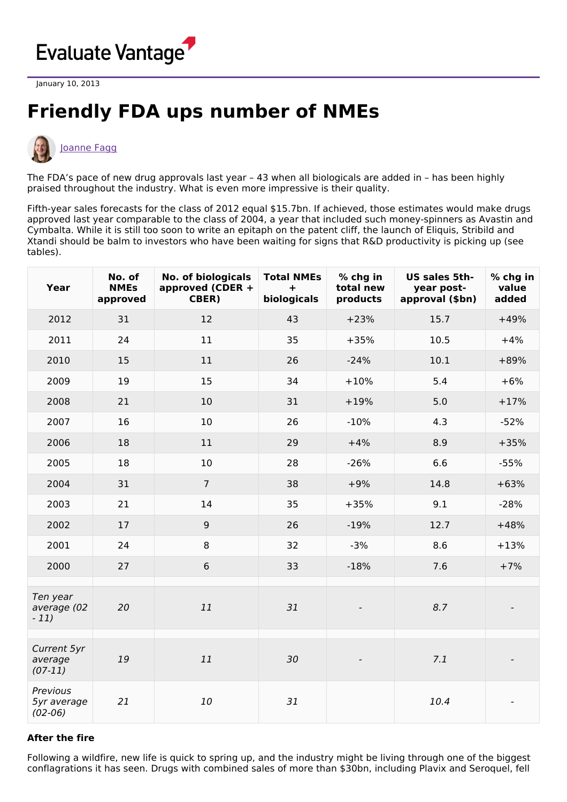

January 10, 2013

## **Friendly FDA ups number of NMEs**



## [Joanne](https://www.evaluate.com/vantage/editorial-team/joanne-fagg) Fagg

The FDA's pace of new drug approvals last year – 43 when all biologicals are added in – has been highly praised throughout the industry. What is even more impressive is their quality.

Fifth-year sales forecasts for the class of 2012 equal \$15.7bn. If achieved, those estimates would make drugs approved last year comparable to the class of 2004, a year that included such money-spinners as Avastin and Cymbalta. While it is still too soon to write an epitaph on the patent cliff, the launch of Eliquis, Stribild and Xtandi should be balm to investors who have been waiting for signs that R&D productivity is picking up (see tables).

| Year                                 | No. of<br><b>NMEs</b><br>approved | <b>No. of biologicals</b><br>approved (CDER +<br>CBER) | <b>Total NMEs</b><br>$\ddot{}$<br>biologicals | % chg in<br>total new<br>products | US sales 5th-<br>year post-<br>approval (\$bn) | % chg in<br>value<br>added |
|--------------------------------------|-----------------------------------|--------------------------------------------------------|-----------------------------------------------|-----------------------------------|------------------------------------------------|----------------------------|
| 2012                                 | 31                                | 12                                                     | 43                                            | $+23%$                            | 15.7                                           | $+49%$                     |
| 2011                                 | 24                                | 11                                                     | 35                                            | $+35%$                            | 10.5                                           | $+4%$                      |
| 2010                                 | 15                                | 11                                                     | 26                                            | $-24%$                            | 10.1                                           | $+89%$                     |
| 2009                                 | 19                                | 15                                                     | 34                                            | $+10%$                            | 5.4                                            | $+6%$                      |
| 2008                                 | 21                                | 10                                                     | 31                                            | $+19%$                            | 5.0                                            | $+17%$                     |
| 2007                                 | 16                                | 10                                                     | 26                                            | $-10%$                            | 4.3                                            | $-52%$                     |
| 2006                                 | 18                                | 11                                                     | 29                                            | $+4%$                             | 8.9                                            | $+35%$                     |
| 2005                                 | 18                                | 10                                                     | 28                                            | $-26%$                            | 6.6                                            | $-55%$                     |
| 2004                                 | 31                                | $\overline{7}$                                         | 38                                            | $+9%$                             | 14.8                                           | $+63%$                     |
| 2003                                 | 21                                | 14                                                     | 35                                            | $+35%$                            | 9.1                                            | $-28%$                     |
| 2002                                 | 17                                | $\boldsymbol{9}$                                       | 26                                            | $-19%$                            | 12.7                                           | $+48%$                     |
| 2001                                 | 24                                | 8                                                      | 32                                            | $-3%$                             | 8.6                                            | $+13%$                     |
| 2000                                 | 27                                | 6                                                      | 33                                            | $-18%$                            | 7.6                                            | $+7%$                      |
| Ten year<br>average (02<br>$-11)$    | 20                                | 11                                                     | 31                                            |                                   | 8.7                                            |                            |
| Current 5yr<br>average<br>$(07-11)$  | 19                                | 11                                                     | 30                                            |                                   | 7.1                                            |                            |
| Previous<br>5yr average<br>$(02-06)$ | 21                                | 10                                                     | 31                                            |                                   | 10.4                                           |                            |

## **After the fire**

Following a wildfire, new life is quick to spring up, and the industry might be living through one of the biggest conflagrations it has seen. Drugs with combined sales of more than \$30bn, including Plavix and Seroquel, fell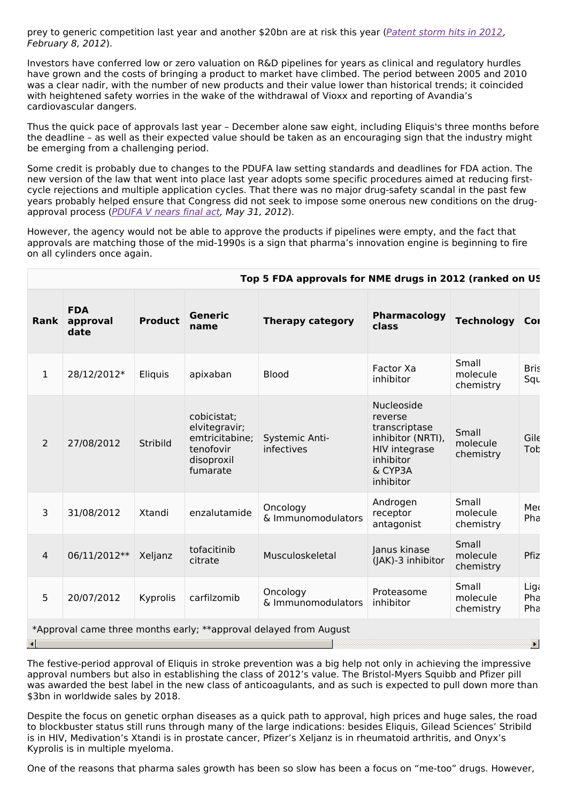prey to generic competition last year and another \$20bn are at risk this year ([Patent](http://www.epvantage.com/Universal/View.aspx?type=Story&id=276015&isEPVantage=yes) storm hits in 2012, February 8, 2012).

Investors have conferred low or zero valuation on R&D pipelines for years as clinical and regulatory hurdles have grown and the costs of bringing a product to market have climbed. The period between 2005 and 2010 was a clear nadir, with the number of new products and their value lower than historical trends; it coincided with heightened safety worries in the wake of the withdrawal of Vioxx and reporting of Avandia's cardiovascular dangers.

Thus the quick pace of approvals last year – December alone saw eight, including Eliquis's three months before the deadline – as well as their expected value should be taken as an encouraging sign that the industry might be emerging from a challenging period.

Some credit is probably due to changes to the PDUFA law setting standards and deadlines for FDA action. The new version of the law that went into place last year adopts some specific procedures aimed at reducing firstcycle rejections and multiple application cycles. That there was no major drug-safety scandal in the past few years probably helped ensure that Congress did not seek to impose some onerous new conditions on the drug-approval process ([PDUFA](http://www.epvantage.com/Universal/View.aspx?type=Story&id=299267&isEPVantage=yes) V nears final act, May 31, 2012).

However, the agency would not be able to approve the products if pipelines were empty, and the fact that approvals are matching those of the mid-1990s is a sign that pharma's innovation engine is beginning to fire on all cylinders once again.

|                | Top 5 FDA approvals for NME drugs in 2012 (ranked on US |                |                                                                                       |                                                                   |                                                                                                                          |                                |                      |  |  |
|----------------|---------------------------------------------------------|----------------|---------------------------------------------------------------------------------------|-------------------------------------------------------------------|--------------------------------------------------------------------------------------------------------------------------|--------------------------------|----------------------|--|--|
| Rank           | <b>FDA</b><br>approval<br>date                          | <b>Product</b> | <b>Generic</b><br>name                                                                | <b>Therapy category</b>                                           | Pharmacology<br>class                                                                                                    | <b>Technology</b>              | Cor                  |  |  |
| $\mathbf{1}$   | 28/12/2012*                                             | Eliquis        | apixaban                                                                              | <b>Blood</b>                                                      | Factor Xa<br>inhibitor                                                                                                   | Small<br>molecule<br>chemistry | <b>Bris</b><br>Squ   |  |  |
| $\overline{2}$ | 27/08/2012                                              | Stribild       | cobicistat;<br>elvitegravir;<br>emtricitabine;<br>tenofovir<br>disoproxil<br>fumarate | Systemic Anti-<br>infectives                                      | Nucleoside<br>reverse<br>transcriptase<br>inhibitor (NRTI),<br><b>HIV integrase</b><br>inhibitor<br>& CYP3A<br>inhibitor | Small<br>molecule<br>chemistry | $Gil\epsilon$<br>Tob |  |  |
| 3              | 31/08/2012                                              | Xtandi         | enzalutamide                                                                          | Oncology<br>& Immunomodulators                                    | Androgen<br>receptor<br>antagonist                                                                                       | Small<br>molecule<br>chemistry | Med<br>Pha           |  |  |
| $\overline{4}$ | 06/11/2012**                                            | Xeljanz        | tofacitinib<br>citrate                                                                | Musculoskeletal                                                   | Janus kinase<br>(JAK)-3 inhibitor                                                                                        | Small<br>molecule<br>chemistry | Pfiz                 |  |  |
| 5              | 20/07/2012                                              | Kyprolis       | carfilzomib                                                                           | Oncology<br>& Immunomodulators                                    | Proteasome<br>inhibitor                                                                                                  | Small<br>molecule<br>chemistry | Liga<br>Pha<br>Pha   |  |  |
|                |                                                         |                |                                                                                       | *Approval came three months early; **approval delayed from August |                                                                                                                          |                                |                      |  |  |
| ю              |                                                         |                |                                                                                       |                                                                   |                                                                                                                          |                                |                      |  |  |

## The festive-period approval of Eliquis in stroke prevention was a big help not only in achieving the impressive approval numbers but also in establishing the class of 2012's value. The Bristol-Myers Squibb and Pfizer pill was awarded the best label in the new class of anticoagulants, and as such is expected to pull down more than \$3bn in worldwide sales by 2018.

Despite the focus on genetic orphan diseases as a quick path to approval, high prices and huge sales, the road to blockbuster status still runs through many of the large indications: besides Eliquis, Gilead Sciences' Stribild is in HIV, Medivation's Xtandi is in prostate cancer, Pfizer's Xeljanz is in rheumatoid arthritis, and Onyx's Kyprolis is in multiple myeloma.

One of the reasons that pharma sales growth has been so slow has been a focus on "me-too" drugs. However,